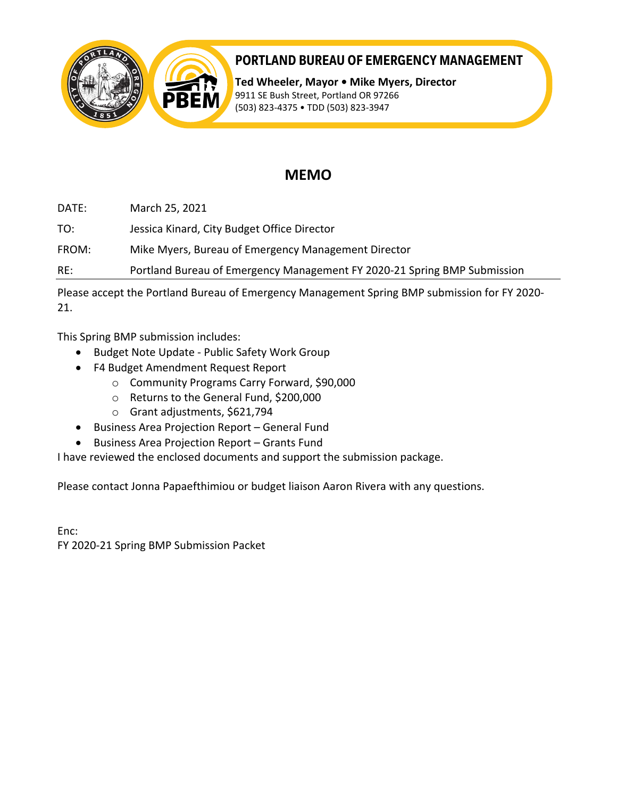



# **PORTLAND BUREAU OF EMERGENCY MANAGEMENT**

**Ted Wheeler, Mayor • Mike Myers, Director** 9911 SE Bush Street, Portland OR 97266 (503) 823-4375 • TDD (503) 823-3947

# **MEMO**

DATE: March 25, 2021

TO: Jessica Kinard, City Budget Office Director

FROM: Mike Myers, Bureau of Emergency Management Director

RE: Portland Bureau of Emergency Management FY 2020-21 Spring BMP Submission

Please accept the Portland Bureau of Emergency Management Spring BMP submission for FY 2020- 21.

This Spring BMP submission includes:

- Budget Note Update Public Safety Work Group
- F4 Budget Amendment Request Report
	- o Community Programs Carry Forward, \$90,000
	- o Returns to the General Fund, \$200,000
	- o Grant adjustments, \$621,794
- Business Area Projection Report General Fund
- Business Area Projection Report Grants Fund

I have reviewed the enclosed documents and support the submission package.

Please contact Jonna Papaefthimiou or budget liaison Aaron Rivera with any questions.

Enc: FY 2020-21 Spring BMP Submission Packet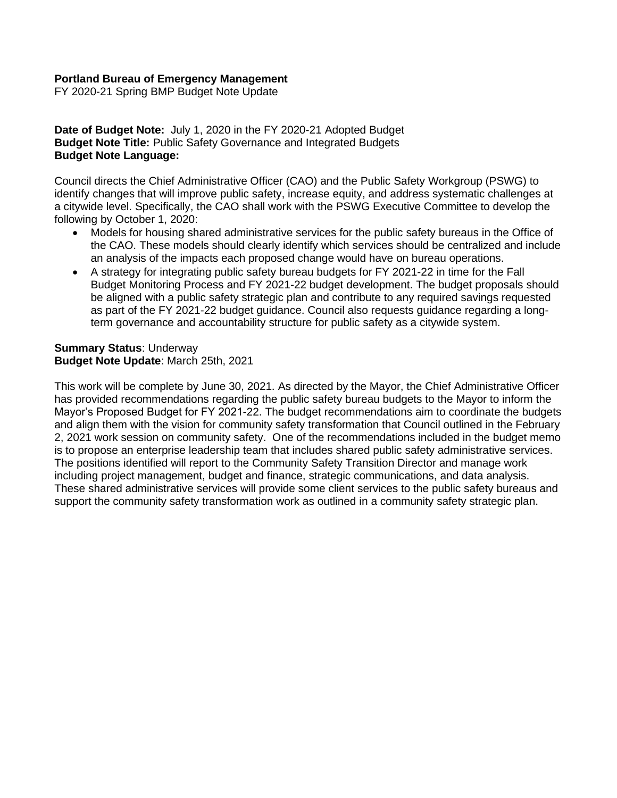# **Portland Bureau of Emergency Management**

FY 2020-21 Spring BMP Budget Note Update

**Date of Budget Note:** July 1, 2020 in the FY 2020-21 Adopted Budget **Budget Note Title:** Public Safety Governance and Integrated Budgets **Budget Note Language:**

Council directs the Chief Administrative Officer (CAO) and the Public Safety Workgroup (PSWG) to identify changes that will improve public safety, increase equity, and address systematic challenges at a citywide level. Specifically, the CAO shall work with the PSWG Executive Committee to develop the following by October 1, 2020:

- Models for housing shared administrative services for the public safety bureaus in the Office of the CAO. These models should clearly identify which services should be centralized and include an analysis of the impacts each proposed change would have on bureau operations.
- A strategy for integrating public safety bureau budgets for FY 2021-22 in time for the Fall Budget Monitoring Process and FY 2021-22 budget development. The budget proposals should be aligned with a public safety strategic plan and contribute to any required savings requested as part of the FY 2021-22 budget guidance. Council also requests guidance regarding a longterm governance and accountability structure for public safety as a citywide system.

#### **Summary Status**: Underway **Budget Note Update**: March 25th, 2021

This work will be complete by June 30, 2021. As directed by the Mayor, the Chief Administrative Officer has provided recommendations regarding the public safety bureau budgets to the Mayor to inform the Mayor's Proposed Budget for FY 2021-22. The budget recommendations aim to coordinate the budgets and align them with the vision for community safety transformation that Council outlined in the February 2, 2021 work session on community safety. One of the recommendations included in the budget memo is to propose an enterprise leadership team that includes shared public safety administrative services. The positions identified will report to the Community Safety Transition Director and manage work including project management, budget and finance, strategic communications, and data analysis. These shared administrative services will provide some client services to the public safety bureaus and support the community safety transformation work as outlined in a community safety strategic plan.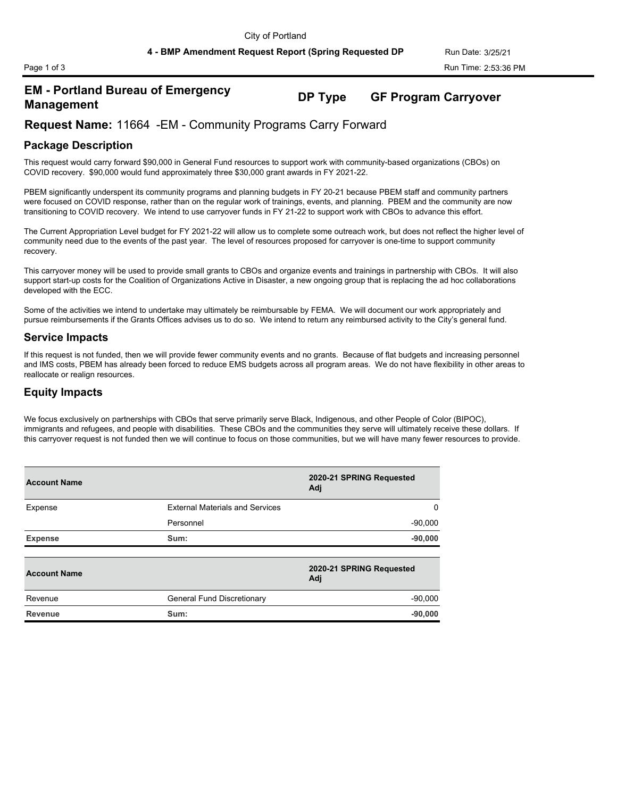# **EM - Portland Bureau of Emergency Management DP Type GF Program Carryover**

# **Request Name:** 11664 -EM - Community Programs Carry Forward

#### **Package Description**

This request would carry forward \$90,000 in General Fund resources to support work with community-based organizations (CBOs) on COVID recovery. \$90,000 would fund approximately three \$30,000 grant awards in FY 2021-22.

PBEM significantly underspent its community programs and planning budgets in FY 20-21 because PBEM staff and community partners were focused on COVID response, rather than on the regular work of trainings, events, and planning. PBEM and the community are now transitioning to COVID recovery. We intend to use carryover funds in FY 21-22 to support work with CBOs to advance this effort.

The Current Appropriation Level budget for FY 2021-22 will allow us to complete some outreach work, but does not reflect the higher level of community need due to the events of the past year. The level of resources proposed for carryover is one-time to support community recovery.

This carryover money will be used to provide small grants to CBOs and organize events and trainings in partnership with CBOs. It will also support start-up costs for the Coalition of Organizations Active in Disaster, a new ongoing group that is replacing the ad hoc collaborations developed with the ECC.

Some of the activities we intend to undertake may ultimately be reimbursable by FEMA. We will document our work appropriately and pursue reimbursements if the Grants Offices advises us to do so. We intend to return any reimbursed activity to the City's general fund.

#### **Service Impacts**

If this request is not funded, then we will provide fewer community events and no grants. Because of flat budgets and increasing personnel and IMS costs, PBEM has already been forced to reduce EMS budgets across all program areas. We do not have flexibility in other areas to reallocate or realign resources.

#### **Equity Impacts**

We focus exclusively on partnerships with CBOs that serve primarily serve Black, Indigenous, and other People of Color (BIPOC), immigrants and refugees, and people with disabilities. These CBOs and the communities they serve will ultimately receive these dollars. If this carryover request is not funded then we will continue to focus on those communities, but we will have many fewer resources to provide.

| <b>Account Name</b> |                                        | 2020-21 SPRING Requested<br>Adj |
|---------------------|----------------------------------------|---------------------------------|
| Expense             | <b>External Materials and Services</b> | 0                               |
|                     | Personnel                              | $-90,000$                       |
| <b>Expense</b>      | Sum:                                   | $-90,000$                       |
|                     |                                        |                                 |
| <b>Account Name</b> |                                        | 2020-21 SPRING Requested<br>Adj |
| Revenue             | General Fund Discretionary             | $-90,000$                       |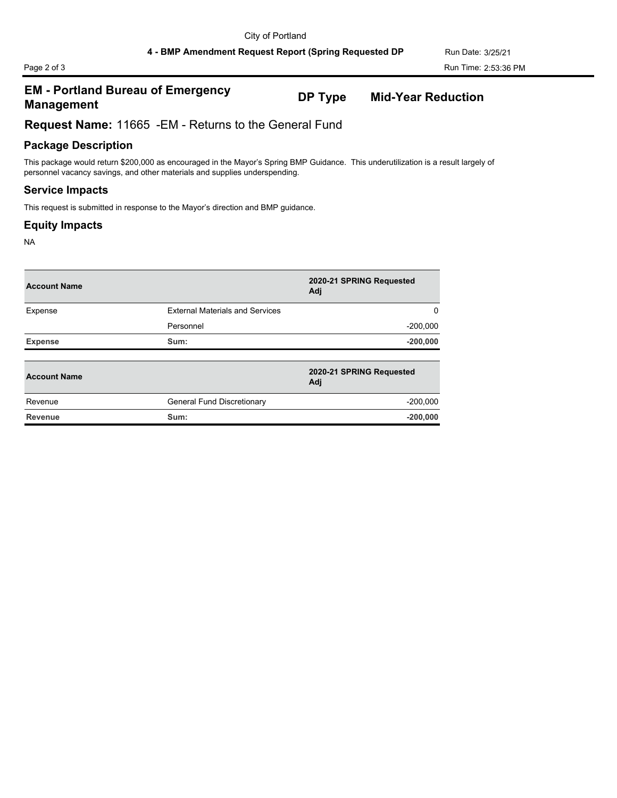# **EM - Portland Bureau of Emergency Management DP Type Mid-Year Reduction**

**Request Name:** 11665 -EM - Returns to the General Fund

# **Package Description**

This package would return \$200,000 as encouraged in the Mayor's Spring BMP Guidance. This underutilization is a result largely of personnel vacancy savings, and other materials and supplies underspending.

#### **Service Impacts**

This request is submitted in response to the Mayor's direction and BMP guidance.

### **Equity Impacts**

NA

| <b>Account Name</b> |                                        | 2020-21 SPRING Requested<br>Adj |
|---------------------|----------------------------------------|---------------------------------|
| Expense             | <b>External Materials and Services</b> | 0                               |
|                     | Personnel                              | $-200,000$                      |
| <b>Expense</b>      | Sum:                                   | $-200,000$                      |
|                     |                                        |                                 |
| <b>Account Name</b> |                                        | 2020-21 SPRING Requested<br>Adj |
| Revenue             | General Fund Discretionary             | $-200,000$                      |
| Revenue             | Sum:                                   | $-200,000$                      |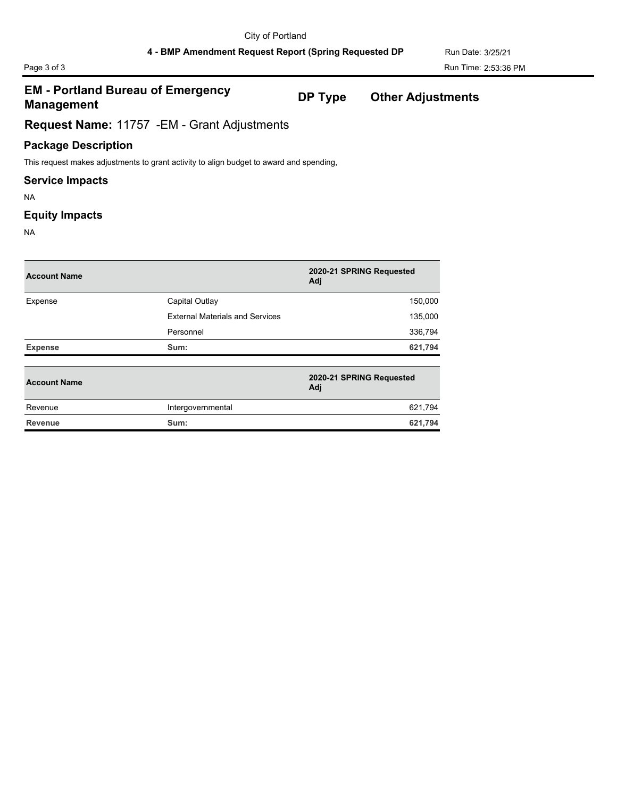# Page 3 of 3 Run Time: 2:53:36 PM

# **EM - Portland Bureau of Emergency Management DP Type Other Adjustments**

**Request Name:** 11757 -EM - Grant Adjustments

# **Package Description**

This request makes adjustments to grant activity to align budget to award and spending,

### **Service Impacts**

NA

### **Equity Impacts**

NA

| <b>Account Name</b> |                                        | 2020-21 SPRING Requested<br>Adj |
|---------------------|----------------------------------------|---------------------------------|
| Expense             | Capital Outlay                         | 150,000                         |
|                     | <b>External Materials and Services</b> | 135,000                         |
|                     | Personnel                              | 336,794                         |
| <b>Expense</b>      | Sum:                                   | 621,794                         |
| <b>Account Name</b> |                                        | 2020-21 SPRING Requested<br>Adj |
| Revenue             | Intergovernmental                      | 621,794                         |

**Revenue Sum: 621,794**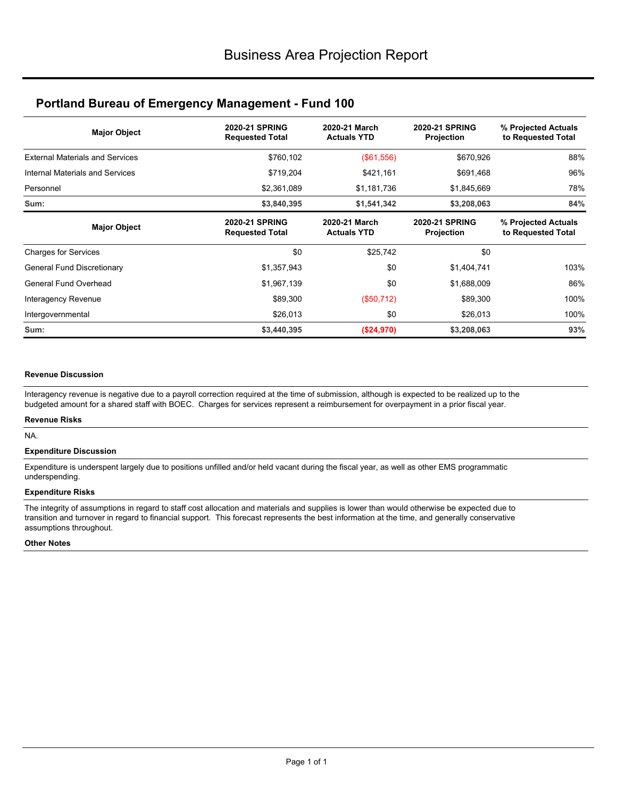# **Portland Bureau of Emergency Management - Fund 100**

| <b>Major Object</b>                    | <b>2020-21 SPRING</b><br><b>Requested Total</b> | 2020-21 March<br><b>Actuals YTD</b> | <b>2020-21 SPRING</b><br>Projection        | % Projected Actuals<br>to Requested Total |
|----------------------------------------|-------------------------------------------------|-------------------------------------|--------------------------------------------|-------------------------------------------|
| <b>External Materials and Services</b> | \$760,102                                       | (\$61,556)                          | \$670,926                                  | 88%                                       |
| Internal Materials and Services        | \$719,204                                       | \$421,161                           | \$691,468                                  | 96%                                       |
| Personnel                              | \$2,361,089                                     | \$1,181,736                         | \$1,845,669                                | 78%                                       |
| Sum:                                   | \$3,840,395                                     | \$1,541,342                         | \$3,208,063                                | 84%                                       |
| <b>Major Object</b>                    | <b>2020-21 SPRING</b><br><b>Requested Total</b> | 2020-21 March<br><b>Actuals YTD</b> | <b>2020-21 SPRING</b><br><b>Projection</b> | % Projected Actuals<br>to Requested Total |
| <b>Charges for Services</b>            | \$0                                             | \$25,742                            | \$0                                        |                                           |
| General Fund Discretionary             | \$1,357,943                                     | \$0                                 | \$1,404,741                                | 103%                                      |
| General Fund Overhead                  | \$1,967,139                                     | \$0                                 | \$1,688,009                                | 86%                                       |
| Interagency Revenue                    | \$89,300                                        | (\$50,712)                          | \$89,300                                   | 100%                                      |
| Intergovernmental                      | \$26,013                                        | \$0                                 | \$26,013                                   | 100%                                      |
| Sum:                                   | \$3,440,395                                     | (\$24,970)                          | \$3,208,063                                | 93%                                       |

#### **Revenue Discussion**

Interagency revenue is negative due to a payroll correction required at the time of submission, although is expected to be realized up to the budgeted amount for a shared staff with BOEC. Charges for services represent a reimbursement for overpayment in a prior fiscal year.

#### **Revenue Risks**

NA.

#### **Expenditure Discussion**

Expenditure is underspent largely due to positions unfilled and/or held vacant during the fiscal year, as well as other EMS programmatic underspending.

#### **Expenditure Risks**

The integrity of assumptions in regard to staff cost allocation and materials and supplies is lower than would otherwise be expected due to transition and turnover in regard to financial support. This forecast represents the best information at the time, and generally conservative assumptions throughout.

#### **Other Notes**